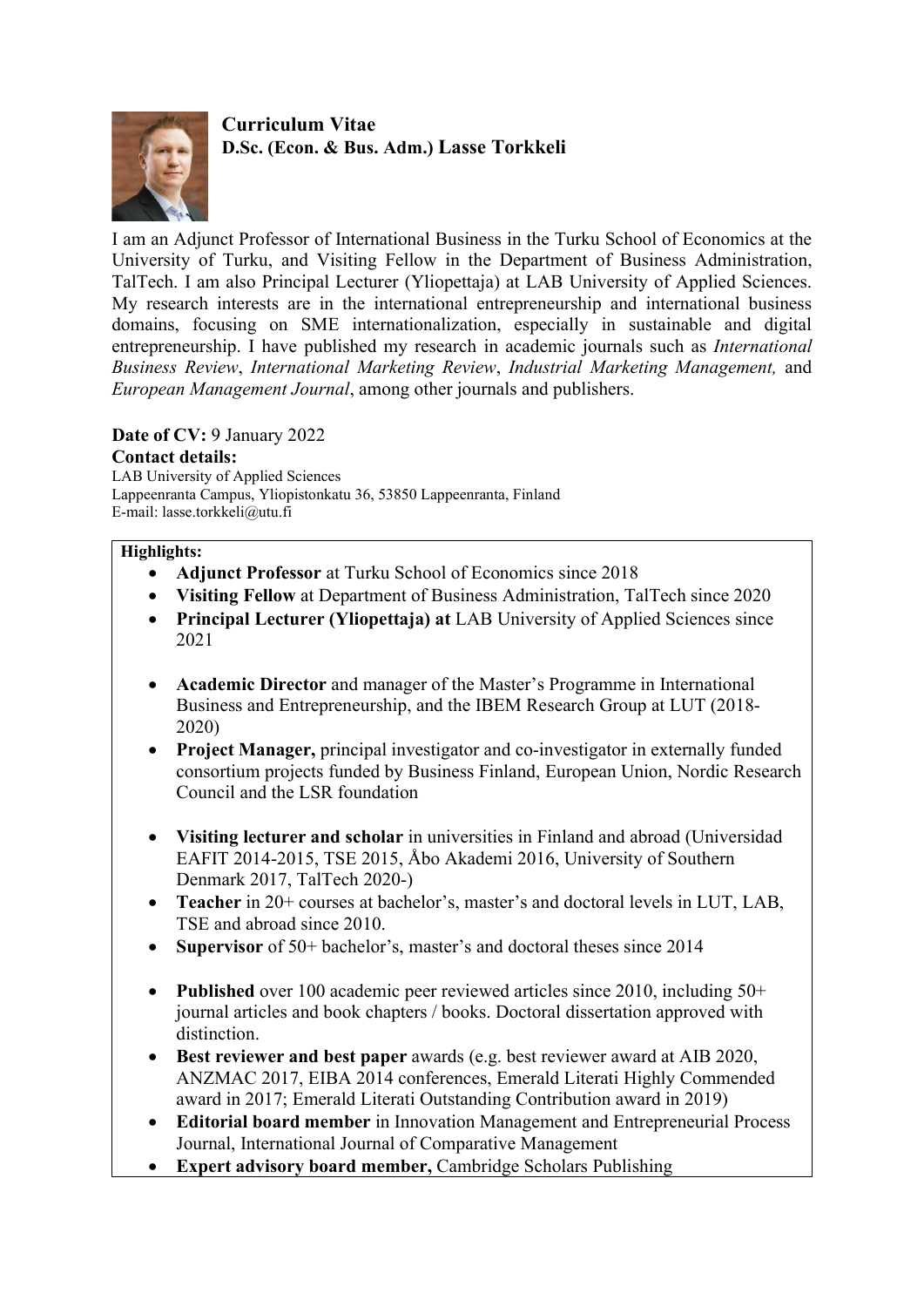Curriculum Vitae D.Sc. (Econ. & Bus. Adm.) Lasse Torkkeli



I am an Adjunct Professor of International Business in the Turku School of Economics at the University of Turku, and Visiting Fellow in the Department of Business Administration, TalTech. I am also Principal Lecturer (Yliopettaja) at LAB University of Applied Sciences. My research interests are in the international entrepreneurship and international business domains, focusing on SME internationalization, especially in sustainable and digital entrepreneurship. I have published my research in academic journals such as International Business Review, International Marketing Review, Industrial Marketing Management, and European Management Journal, among other journals and publishers.

# Date of CV: 9 January 2022

Contact details:

LAB University of Applied Sciences Lappeenranta Campus, Yliopistonkatu 36, 53850 Lappeenranta, Finland E-mail: lasse.torkkeli@utu.fi

# Highlights:

- Adjunct Professor at Turku School of Economics since 2018
- Visiting Fellow at Department of Business Administration, TalTech since 2020
- Principal Lecturer (Yliopettaja) at LAB University of Applied Sciences since 2021
- Academic Director and manager of the Master's Programme in International Business and Entrepreneurship, and the IBEM Research Group at LUT (2018- 2020)
- Project Manager, principal investigator and co-investigator in externally funded consortium projects funded by Business Finland, European Union, Nordic Research Council and the LSR foundation
- Visiting lecturer and scholar in universities in Finland and abroad (Universidad EAFIT 2014-2015, TSE 2015, Åbo Akademi 2016, University of Southern Denmark 2017, TalTech 2020-)
- Teacher in 20+ courses at bachelor's, master's and doctoral levels in LUT, LAB, TSE and abroad since 2010.
- Supervisor of 50+ bachelor's, master's and doctoral theses since 2014
- Published over 100 academic peer reviewed articles since 2010, including 50+ journal articles and book chapters / books. Doctoral dissertation approved with distinction.
- Best reviewer and best paper awards (e.g. best reviewer award at AIB 2020, ANZMAC 2017, EIBA 2014 conferences, Emerald Literati Highly Commended award in 2017; Emerald Literati Outstanding Contribution award in 2019)
- Editorial board member in Innovation Management and Entrepreneurial Process Journal, International Journal of Comparative Management
- Expert advisory board member, Cambridge Scholars Publishing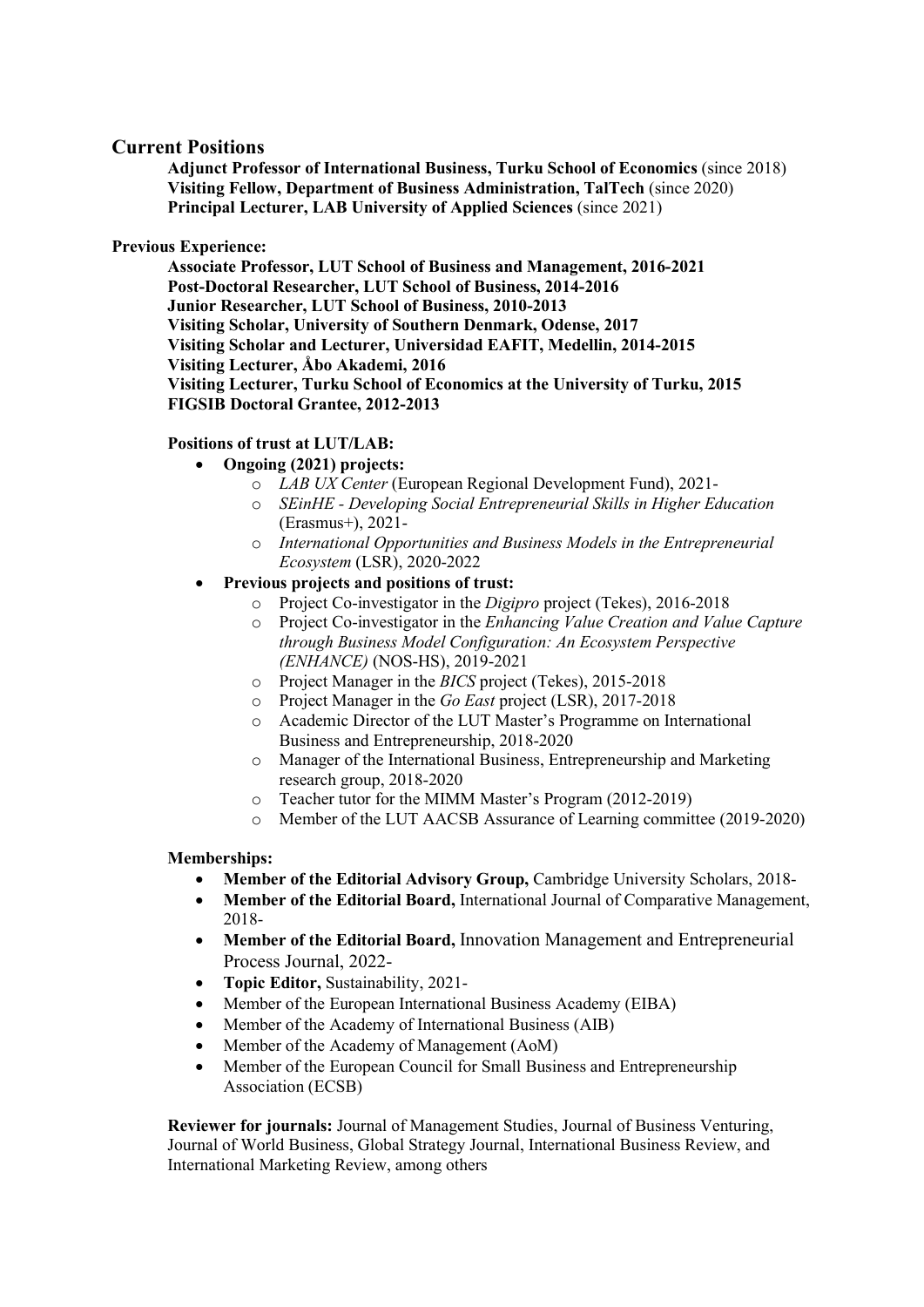## Current Positions

Adjunct Professor of International Business, Turku School of Economics (since 2018) Visiting Fellow, Department of Business Administration, TalTech (since 2020) Principal Lecturer, LAB University of Applied Sciences (since 2021)

### Previous Experience:

Associate Professor, LUT School of Business and Management, 2016-2021 Post-Doctoral Researcher, LUT School of Business, 2014-2016 Junior Researcher, LUT School of Business, 2010-2013 Visiting Scholar, University of Southern Denmark, Odense, 2017 Visiting Scholar and Lecturer, Universidad EAFIT, Medellin, 2014-2015 Visiting Lecturer, Åbo Akademi, 2016 Visiting Lecturer, Turku School of Economics at the University of Turku, 2015 FIGSIB Doctoral Grantee, 2012-2013

# Positions of trust at LUT/LAB:

- Ongoing (2021) projects:
	- o LAB UX Center (European Regional Development Fund), 2021-
	- o SEinHE Developing Social Entrepreneurial Skills in Higher Education (Erasmus+), 2021-
	- o International Opportunities and Business Models in the Entrepreneurial Ecosystem (LSR), 2020-2022
- Previous projects and positions of trust:
	- o Project Co-investigator in the Digipro project (Tekes), 2016-2018
	- $\circ$  Project Co-investigator in the *Enhancing Value Creation and Value Capture* through Business Model Configuration: An Ecosystem Perspective (ENHANCE) (NOS-HS), 2019-2021
	- o Project Manager in the BICS project (Tekes), 2015-2018
	- o Project Manager in the Go East project (LSR), 2017-2018
	- o Academic Director of the LUT Master's Programme on International Business and Entrepreneurship, 2018-2020
	- o Manager of the International Business, Entrepreneurship and Marketing research group, 2018-2020
	- o Teacher tutor for the MIMM Master's Program (2012-2019)
	- o Member of the LUT AACSB Assurance of Learning committee (2019-2020)

#### Memberships:

- Member of the Editorial Advisory Group, Cambridge University Scholars, 2018-
- Member of the Editorial Board, International Journal of Comparative Management, 2018-
- Member of the Editorial Board, Innovation Management and Entrepreneurial Process Journal, 2022-
- Topic Editor, Sustainability, 2021-
- Member of the European International Business Academy (EIBA)
- Member of the Academy of International Business (AIB)
- Member of the Academy of Management (AoM)
- Member of the European Council for Small Business and Entrepreneurship Association (ECSB)

Reviewer for journals: Journal of Management Studies, Journal of Business Venturing, Journal of World Business, Global Strategy Journal, International Business Review, and International Marketing Review, among others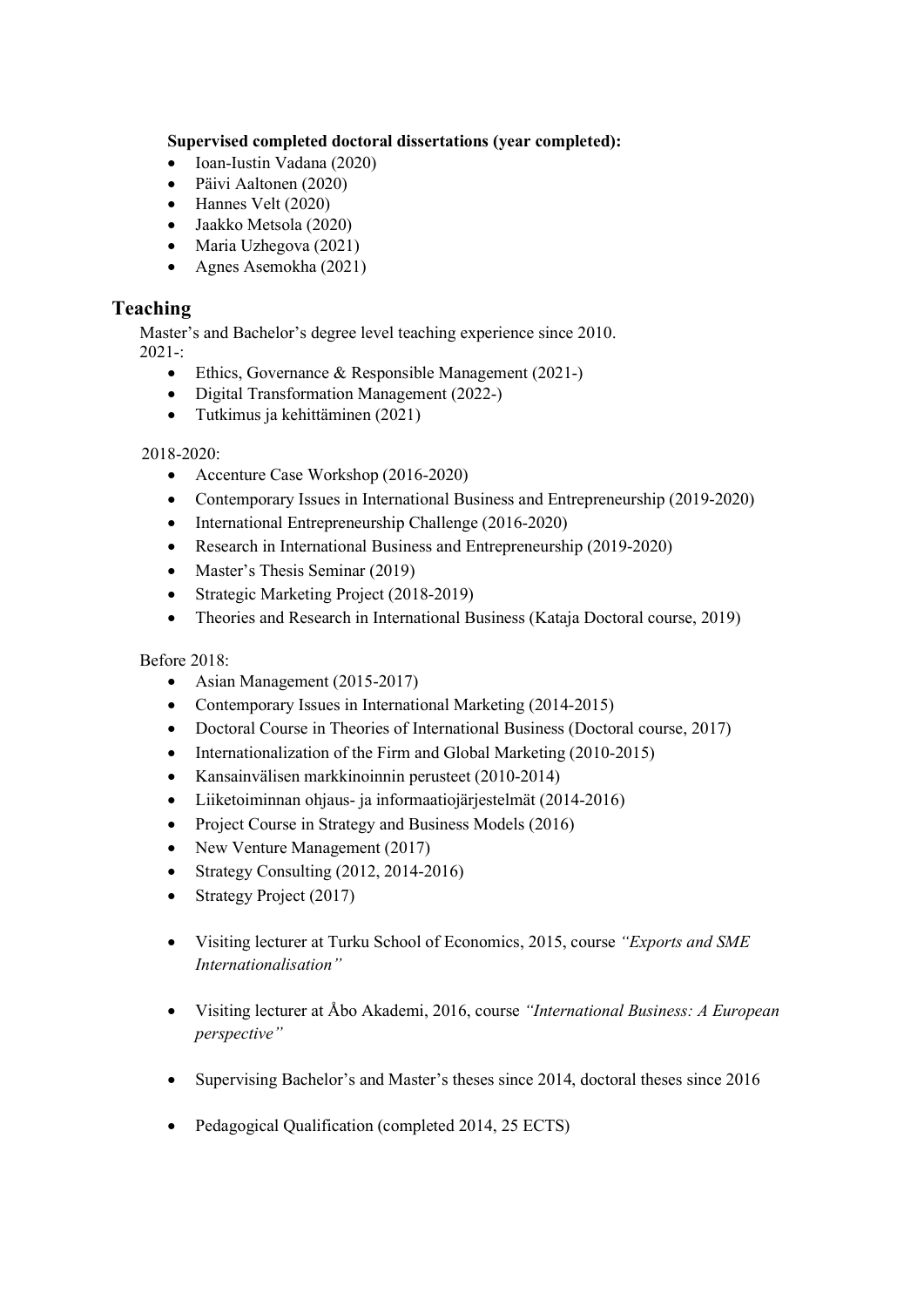## Supervised completed doctoral dissertations (year completed):

- Ioan-Iustin Vadana (2020)
- Päivi Aaltonen (2020)
- Hannes Velt (2020)
- Jaakko Metsola (2020)
- Maria Uzhegova (2021)
- Agnes Asemokha (2021)

# Teaching

Master's and Bachelor's degree level teaching experience since 2010.  $2021 -$ :

- Ethics, Governance & Responsible Management (2021-)
- Digital Transformation Management (2022-)
- Tutkimus ja kehittäminen (2021)

# 2018-2020:

- Accenture Case Workshop (2016-2020)
- Contemporary Issues in International Business and Entrepreneurship (2019-2020)
- International Entrepreneurship Challenge (2016-2020)
- Research in International Business and Entrepreneurship (2019-2020)
- Master's Thesis Seminar (2019)
- Strategic Marketing Project (2018-2019)
- Theories and Research in International Business (Kataja Doctoral course, 2019)

# Before 2018:

- Asian Management (2015-2017)
- Contemporary Issues in International Marketing (2014-2015)
- Doctoral Course in Theories of International Business (Doctoral course, 2017)
- Internationalization of the Firm and Global Marketing (2010-2015)
- Kansainvälisen markkinoinnin perusteet (2010-2014)
- Liiketoiminnan ohjaus- ja informaatiojärjestelmät (2014-2016)
- Project Course in Strategy and Business Models (2016)
- New Venture Management (2017)
- Strategy Consulting (2012, 2014-2016)
- $\bullet$  Strategy Project (2017)
- Visiting lecturer at Turku School of Economics, 2015, course "Exports and SME" Internationalisation"
- Visiting lecturer at Åbo Akademi, 2016, course "International Business: A European perspective"
- Supervising Bachelor's and Master's theses since 2014, doctoral theses since 2016
- Pedagogical Qualification (completed 2014, 25 ECTS)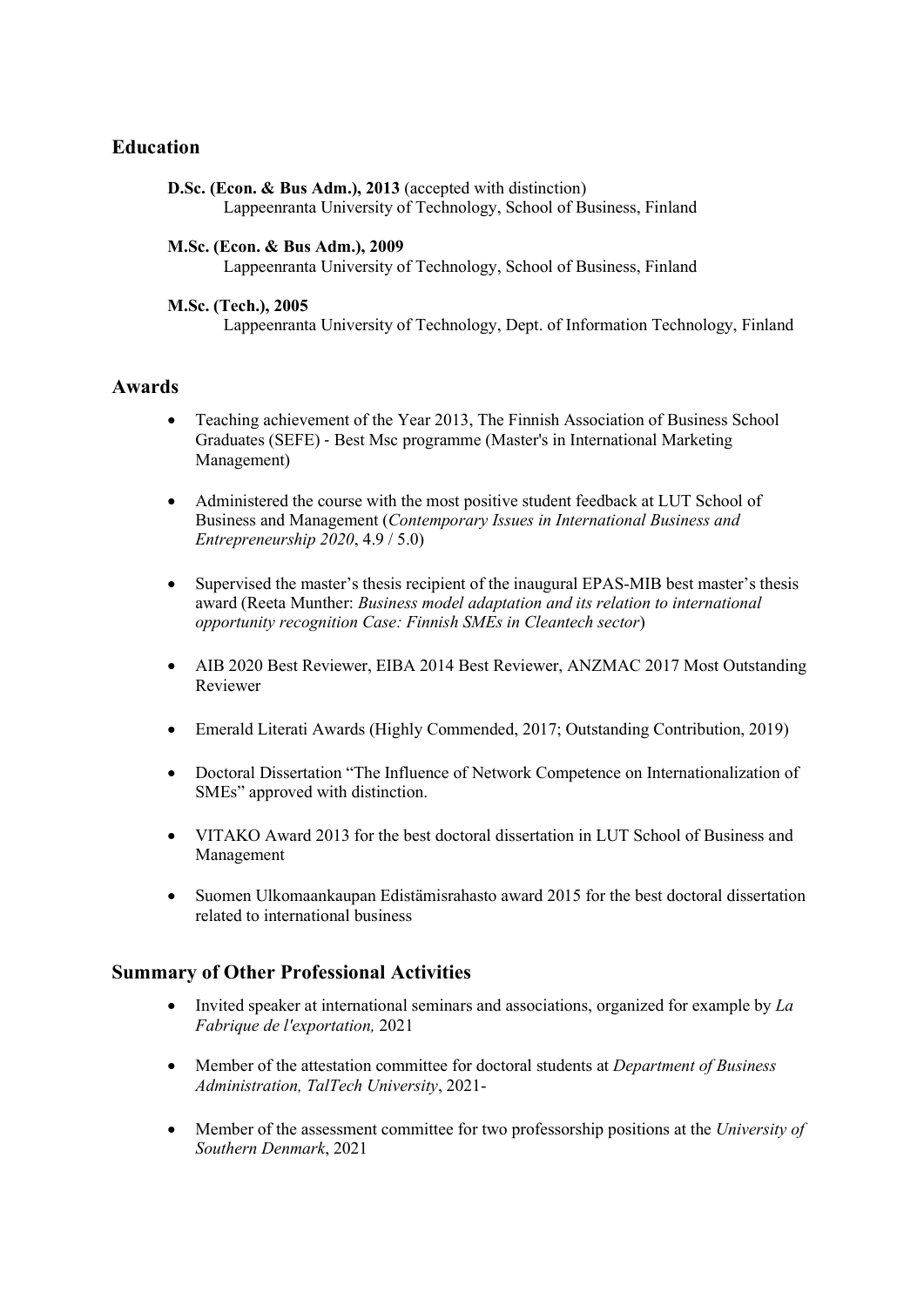# **Education**

D.Sc. (Econ. & Bus Adm.), 2013 (accepted with distinction) Lappeenranta University of Technology, School of Business, Finland

M.Sc. (Econ. & Bus Adm.), 2009 Lappeenranta University of Technology, School of Business, Finland

#### M.Sc. (Tech.), 2005

Lappeenranta University of Technology, Dept. of Information Technology, Finland

## Awards

- Teaching achievement of the Year 2013, The Finnish Association of Business School Graduates (SEFE) ‐ Best Msc programme (Master's in International Marketing Management)
- Administered the course with the most positive student feedback at LUT School of Business and Management (Contemporary Issues in International Business and Entrepreneurship 2020, 4.9 / 5.0)
- Supervised the master's thesis recipient of the inaugural EPAS-MIB best master's thesis award (Reeta Munther: Business model adaptation and its relation to international opportunity recognition Case: Finnish SMEs in Cleantech sector)
- AIB 2020 Best Reviewer, EIBA 2014 Best Reviewer, ANZMAC 2017 Most Outstanding Reviewer
- Emerald Literati Awards (Highly Commended, 2017; Outstanding Contribution, 2019)
- Doctoral Dissertation "The Influence of Network Competence on Internationalization of SMEs" approved with distinction.
- VITAKO Award 2013 for the best doctoral dissertation in LUT School of Business and Management
- Suomen Ulkomaankaupan Edistämisrahasto award 2015 for the best doctoral dissertation related to international business

# Summary of Other Professional Activities

- Invited speaker at international seminars and associations, organized for example by La Fabrique de l'exportation, 2021
- Member of the attestation committee for doctoral students at *Department of Business* Administration, TalTech University, 2021-
- Member of the assessment committee for two professorship positions at the University of Southern Denmark, 2021